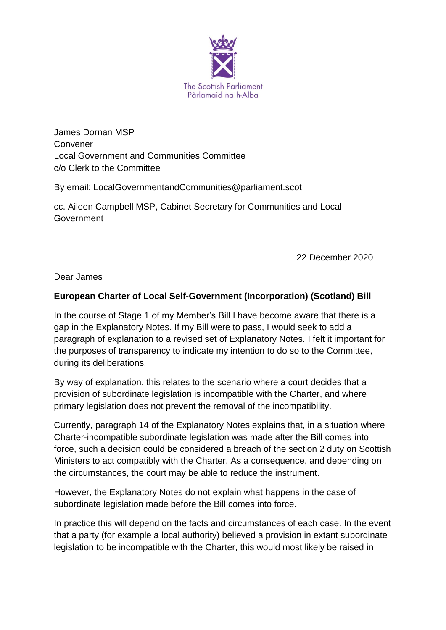

James Dornan MSP Convener Local Government and Communities Committee c/o Clerk to the Committee

By email: LocalGovernmentandCommunities@parliament.scot

cc. Aileen Campbell MSP, Cabinet Secretary for Communities and Local Government

22 December 2020

Dear James

## **European Charter of Local Self-Government (Incorporation) (Scotland) Bill**

In the course of Stage 1 of my Member's Bill I have become aware that there is a gap in the Explanatory Notes. If my Bill were to pass, I would seek to add a paragraph of explanation to a revised set of Explanatory Notes. I felt it important for the purposes of transparency to indicate my intention to do so to the Committee, during its deliberations.

By way of explanation, this relates to the scenario where a court decides that a provision of subordinate legislation is incompatible with the Charter, and where primary legislation does not prevent the removal of the incompatibility.

Currently, paragraph 14 of the Explanatory Notes explains that, in a situation where Charter-incompatible subordinate legislation was made after the Bill comes into force, such a decision could be considered a breach of the section 2 duty on Scottish Ministers to act compatibly with the Charter. As a consequence, and depending on the circumstances, the court may be able to reduce the instrument.

However, the Explanatory Notes do not explain what happens in the case of subordinate legislation made before the Bill comes into force.

In practice this will depend on the facts and circumstances of each case. In the event that a party (for example a local authority) believed a provision in extant subordinate legislation to be incompatible with the Charter, this would most likely be raised in